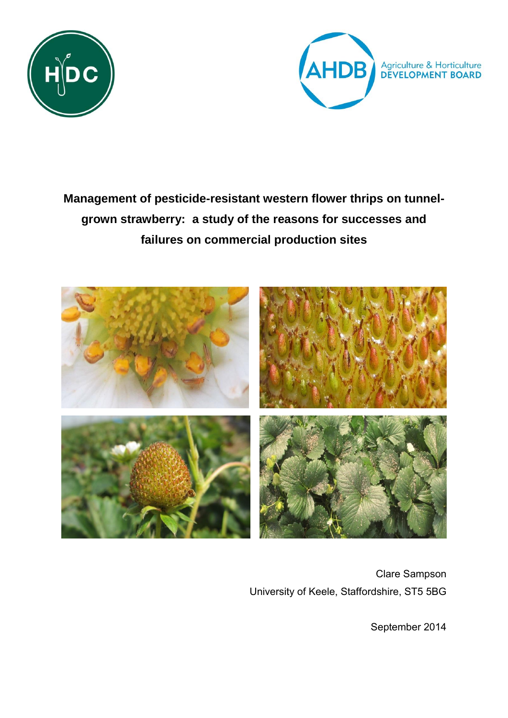



# **Management of pesticide-resistant western flower thrips on tunnelgrown strawberry: a study of the reasons for successes and failures on commercial production sites**



Clare Sampson University of Keele, Staffordshire, ST5 5BG

September 2014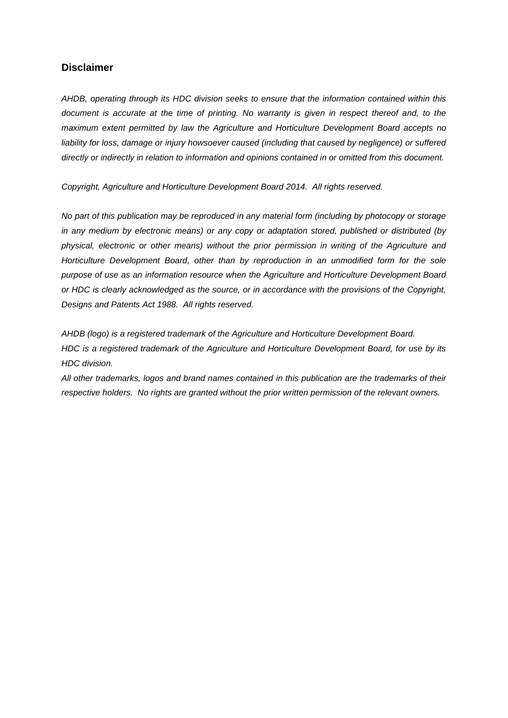## **Disclaimer**

*AHDB, operating through its HDC division seeks to ensure that the information contained within this document is accurate at the time of printing. No warranty is given in respect thereof and, to the maximum extent permitted by law the Agriculture and Horticulture Development Board accepts no*  liability for loss, damage or injury howsoever caused (including that caused by negligence) or suffered *directly or indirectly in relation to information and opinions contained in or omitted from this document.* 

*Copyright, Agriculture and Horticulture Development Board 2014. All rights reserved.*

*No part of this publication may be reproduced in any material form (including by photocopy or storage in any medium by electronic means) or any copy or adaptation stored, published or distributed (by physical, electronic or other means) without the prior permission in writing of the Agriculture and Horticulture Development Board, other than by reproduction in an unmodified form for the sole purpose of use as an information resource when the Agriculture and Horticulture Development Board or HDC is clearly acknowledged as the source, or in accordance with the provisions of the Copyright, Designs and Patents Act 1988. All rights reserved.* 

*AHDB (logo) is a registered trademark of the Agriculture and Horticulture Development Board. HDC is a registered trademark of the Agriculture and Horticulture Development Board, for use by its HDC division.*

*All other trademarks, logos and brand names contained in this publication are the trademarks of their respective holders. No rights are granted without the prior written permission of the relevant owners.*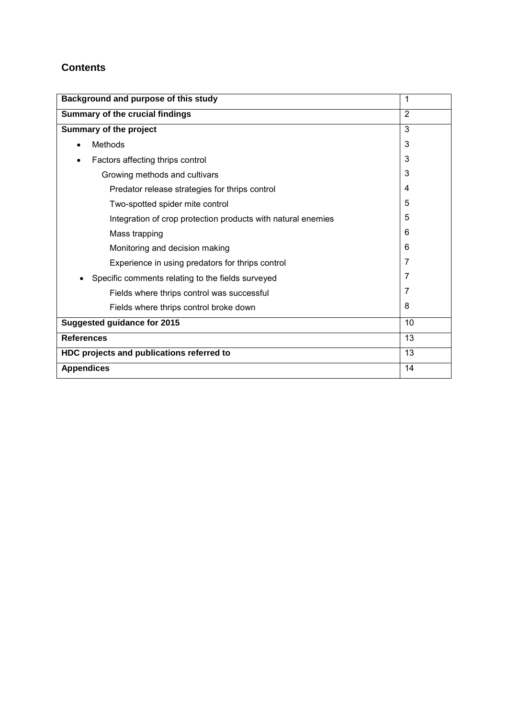## **Contents**

| Background and purpose of this study                         | 1              |  |  |  |  |
|--------------------------------------------------------------|----------------|--|--|--|--|
| Summary of the crucial findings                              |                |  |  |  |  |
| Summary of the project                                       |                |  |  |  |  |
| <b>Methods</b>                                               | 3              |  |  |  |  |
| Factors affecting thrips control                             | 3              |  |  |  |  |
| Growing methods and cultivars                                | 3              |  |  |  |  |
| Predator release strategies for thrips control               | $\overline{4}$ |  |  |  |  |
| Two-spotted spider mite control                              | 5              |  |  |  |  |
| Integration of crop protection products with natural enemies | 5              |  |  |  |  |
| Mass trapping                                                | 6              |  |  |  |  |
| Monitoring and decision making                               | 6              |  |  |  |  |
| Experience in using predators for thrips control             | 7              |  |  |  |  |
| Specific comments relating to the fields surveyed            | 7              |  |  |  |  |
| Fields where thrips control was successful                   | 7              |  |  |  |  |
| Fields where thrips control broke down                       | 8              |  |  |  |  |
| <b>Suggested guidance for 2015</b>                           | 10             |  |  |  |  |
| <b>References</b>                                            | 13             |  |  |  |  |
| HDC projects and publications referred to                    |                |  |  |  |  |
| <b>Appendices</b>                                            | 14             |  |  |  |  |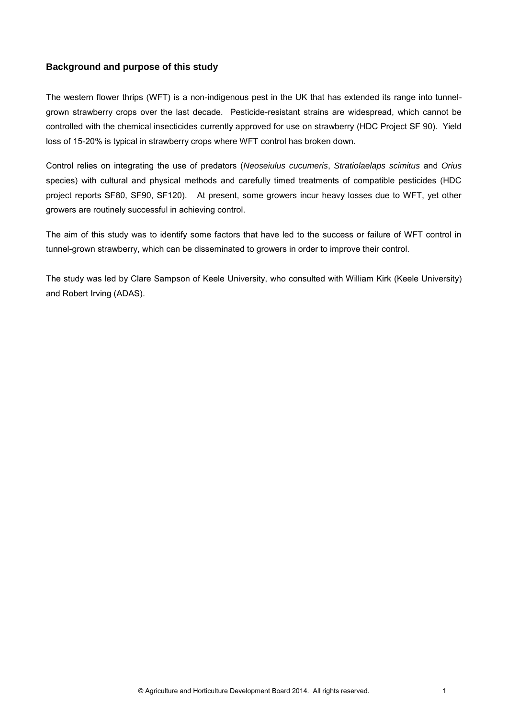## **Background and purpose of this study**

The western flower thrips (WFT) is a non-indigenous pest in the UK that has extended its range into tunnelgrown strawberry crops over the last decade. Pesticide-resistant strains are widespread, which cannot be controlled with the chemical insecticides currently approved for use on strawberry (HDC Project SF 90). Yield loss of 15-20% is typical in strawberry crops where WFT control has broken down.

Control relies on integrating the use of predators (*Neoseiulus cucumeris*, *Stratiolaelaps scimitus* and *Orius*  species) with cultural and physical methods and carefully timed treatments of compatible pesticides (HDC project reports SF80, SF90, SF120). At present, some growers incur heavy losses due to WFT, yet other growers are routinely successful in achieving control.

The aim of this study was to identify some factors that have led to the success or failure of WFT control in tunnel-grown strawberry, which can be disseminated to growers in order to improve their control.

The study was led by Clare Sampson of Keele University, who consulted with William Kirk (Keele University) and Robert Irving (ADAS).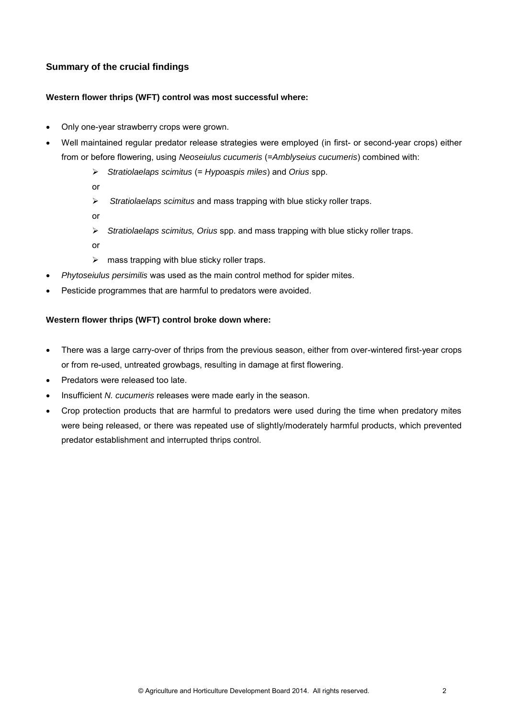## **Summary of the crucial findings**

#### **Western flower thrips (WFT) control was most successful where:**

- Only one-year strawberry crops were grown.
- Well maintained regular predator release strategies were employed (in first- or second-year crops) either from or before flowering, using *Neoseiulus cucumeris* (=*Amblyseius cucumeris*) combined with:
	- *Stratiolaelaps scimitus* (= *Hypoaspis miles*) and *Orius* spp.
	- or
	- *Stratiolaelaps scimitus* and mass trapping with blue sticky roller traps.
	- or
	- *Stratiolaelaps scimitus, Orius* spp. and mass trapping with blue sticky roller traps.
	- or
	- $\triangleright$  mass trapping with blue sticky roller traps.
- *Phytoseiulus persimilis* was used as the main control method for spider mites.
- Pesticide programmes that are harmful to predators were avoided.

#### **Western flower thrips (WFT) control broke down where:**

- There was a large carry-over of thrips from the previous season, either from over-wintered first-year crops or from re-used, untreated growbags, resulting in damage at first flowering.
- Predators were released too late.
- Insufficient *N. cucumeris* releases were made early in the season.
- Crop protection products that are harmful to predators were used during the time when predatory mites were being released, or there was repeated use of slightly/moderately harmful products, which prevented predator establishment and interrupted thrips control.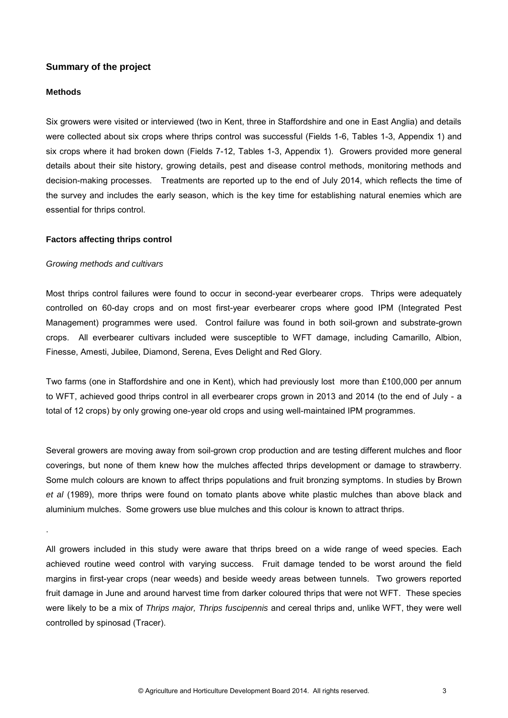### **Summary of the project**

#### **Methods**

.

Six growers were visited or interviewed (two in Kent, three in Staffordshire and one in East Anglia) and details were collected about six crops where thrips control was successful (Fields 1-6, Tables 1-3, Appendix 1) and six crops where it had broken down (Fields 7-12, Tables 1-3, Appendix 1). Growers provided more general details about their site history, growing details, pest and disease control methods, monitoring methods and decision-making processes. Treatments are reported up to the end of July 2014, which reflects the time of the survey and includes the early season, which is the key time for establishing natural enemies which are essential for thrips control.

#### **Factors affecting thrips control**

#### *Growing methods and cultivars*

Most thrips control failures were found to occur in second-year everbearer crops. Thrips were adequately controlled on 60-day crops and on most first-year everbearer crops where good IPM (Integrated Pest Management) programmes were used. Control failure was found in both soil-grown and substrate-grown crops. All everbearer cultivars included were susceptible to WFT damage, including Camarillo, Albion, Finesse, Amesti, Jubilee, Diamond, Serena, Eves Delight and Red Glory.

Two farms (one in Staffordshire and one in Kent), which had previously lost more than £100,000 per annum to WFT, achieved good thrips control in all everbearer crops grown in 2013 and 2014 (to the end of July - a total of 12 crops) by only growing one-year old crops and using well-maintained IPM programmes.

Several growers are moving away from soil-grown crop production and are testing different mulches and floor coverings, but none of them knew how the mulches affected thrips development or damage to strawberry. Some mulch colours are known to affect thrips populations and fruit bronzing symptoms. In studies by Brown *et al* (1989), more thrips were found on tomato plants above white plastic mulches than above black and aluminium mulches. Some growers use blue mulches and this colour is known to attract thrips.

All growers included in this study were aware that thrips breed on a wide range of weed species. Each achieved routine weed control with varying success. Fruit damage tended to be worst around the field margins in first-year crops (near weeds) and beside weedy areas between tunnels. Two growers reported fruit damage in June and around harvest time from darker coloured thrips that were not WFT. These species were likely to be a mix of *Thrips major, Thrips fuscipennis* and cereal thrips and, unlike WFT, they were well controlled by spinosad (Tracer).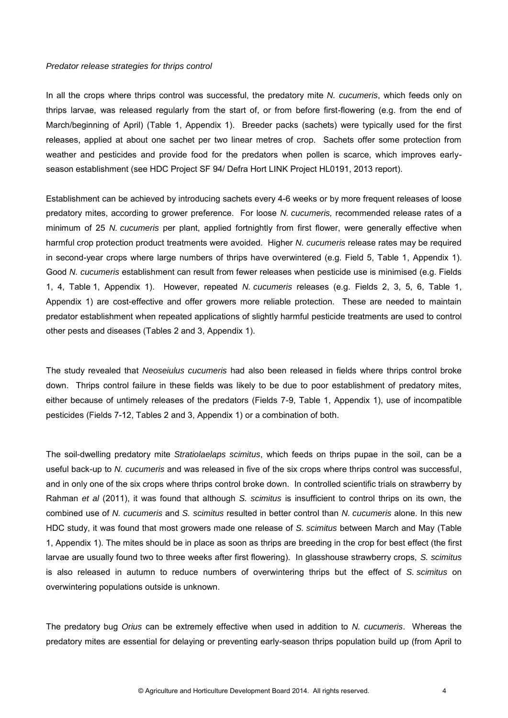#### *Predator release strategies for thrips control*

In all the crops where thrips control was successful, the predatory mite *N. cucumeris*, which feeds only on thrips larvae, was released regularly from the start of, or from before first-flowering (e.g. from the end of March/beginning of April) (Table 1, Appendix 1). Breeder packs (sachets) were typically used for the first releases, applied at about one sachet per two linear metres of crop. Sachets offer some protection from weather and pesticides and provide food for the predators when pollen is scarce, which improves earlyseason establishment (see HDC Project SF 94/ Defra Hort LINK Project HL0191, 2013 report).

Establishment can be achieved by introducing sachets every 4-6 weeks or by more frequent releases of loose predatory mites, according to grower preference. For loose *N. cucumeris,* recommended release rates of a minimum of 25 *N. cucumeris* per plant, applied fortnightly from first flower, were generally effective when harmful crop protection product treatments were avoided. Higher *N. cucumeris* release rates may be required in second-year crops where large numbers of thrips have overwintered (e.g. Field 5, Table 1, Appendix 1). Good *N. cucumeris* establishment can result from fewer releases when pesticide use is minimised (e.g. Fields 1, 4, Table 1, Appendix 1). However, repeated *N. cucumeris* releases (e.g. Fields 2, 3, 5, 6, Table 1, Appendix 1) are cost-effective and offer growers more reliable protection. These are needed to maintain predator establishment when repeated applications of slightly harmful pesticide treatments are used to control other pests and diseases (Tables 2 and 3, Appendix 1).

The study revealed that *Neoseiulus cucumeris* had also been released in fields where thrips control broke down. Thrips control failure in these fields was likely to be due to poor establishment of predatory mites, either because of untimely releases of the predators (Fields 7-9, Table 1, Appendix 1), use of incompatible pesticides (Fields 7-12, Tables 2 and 3, Appendix 1) or a combination of both.

The soil-dwelling predatory mite *Stratiolaelaps scimitus*, which feeds on thrips pupae in the soil, can be a useful back-up to *N. cucumeris* and was released in five of the six crops where thrips control was successful, and in only one of the six crops where thrips control broke down. In controlled scientific trials on strawberry by Rahman *et al* (2011), it was found that although *S. scimitus* is insufficient to control thrips on its own, the combined use of *N. cucumeris* and *S. scimitus* resulted in better control than *N. cucumeris* alone. In this new HDC study, it was found that most growers made one release of *S. scimitus* between March and May (Table 1, Appendix 1). The mites should be in place as soon as thrips are breeding in the crop for best effect (the first larvae are usually found two to three weeks after first flowering). In glasshouse strawberry crops, *S. scimitus*  is also released in autumn to reduce numbers of overwintering thrips but the effect of *S. scimitus* on overwintering populations outside is unknown.

The predatory bug *Orius* can be extremely effective when used in addition to *N. cucumeris*. Whereas the predatory mites are essential for delaying or preventing early-season thrips population build up (from April to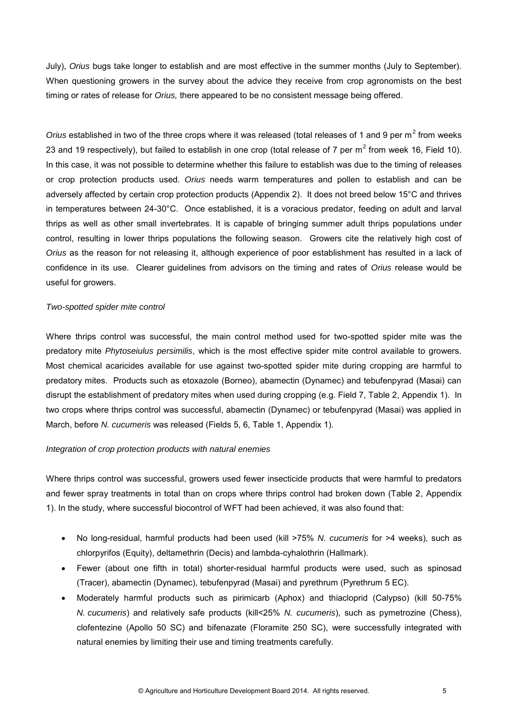July), *Orius* bugs take longer to establish and are most effective in the summer months (July to September). When questioning growers in the survey about the advice they receive from crop agronomists on the best timing or rates of release for *Orius,* there appeared to be no consistent message being offered.

Orius established in two of the three crops where it was released (total releases of 1 and 9 per m<sup>2</sup> from weeks 23 and 19 respectively), but failed to establish in one crop (total release of 7 per  $m^2$  from week 16, Field 10). In this case, it was not possible to determine whether this failure to establish was due to the timing of releases or crop protection products used. *Orius* needs warm temperatures and pollen to establish and can be adversely affected by certain crop protection products (Appendix 2). It does not breed below 15°C and thrives in temperatures between 24-30°C. Once established, it is a voracious predator, feeding on adult and larval thrips as well as other small invertebrates. It is capable of bringing summer adult thrips populations under control, resulting in lower thrips populations the following season. Growers cite the relatively high cost of *Orius* as the reason for not releasing it, although experience of poor establishment has resulted in a lack of confidence in its use. Clearer guidelines from advisors on the timing and rates of *Orius* release would be useful for growers.

#### *Two-spotted spider mite control*

Where thrips control was successful, the main control method used for two-spotted spider mite was the predatory mite *Phytoseiulus persimilis*, which is the most effective spider mite control available to growers. Most chemical acaricides available for use against two-spotted spider mite during cropping are harmful to predatory mites. Products such as etoxazole (Borneo), abamectin (Dynamec) and tebufenpyrad (Masai) can disrupt the establishment of predatory mites when used during cropping (e.g. Field 7, Table 2, Appendix 1). In two crops where thrips control was successful, abamectin (Dynamec) or tebufenpyrad (Masai) was applied in March, before *N. cucumeris* was released (Fields 5, 6, Table 1, Appendix 1).

#### *Integration of crop protection products with natural enemies*

Where thrips control was successful, growers used fewer insecticide products that were harmful to predators and fewer spray treatments in total than on crops where thrips control had broken down (Table 2, Appendix 1). In the study, where successful biocontrol of WFT had been achieved, it was also found that:

- No long-residual, harmful products had been used (kill >75% *N. cucumeris* for >4 weeks), such as chlorpyrifos (Equity), deltamethrin (Decis) and lambda-cyhalothrin (Hallmark).
- Fewer (about one fifth in total) shorter-residual harmful products were used, such as spinosad (Tracer), abamectin (Dynamec), tebufenpyrad (Masai) and pyrethrum (Pyrethrum 5 EC).
- Moderately harmful products such as pirimicarb (Aphox) and thiacloprid (Calypso) (kill 50-75% *N. cucumeris*) and relatively safe products (kill<25% *N. cucumeris*), such as pymetrozine (Chess), clofentezine (Apollo 50 SC) and bifenazate (Floramite 250 SC), were successfully integrated with natural enemies by limiting their use and timing treatments carefully.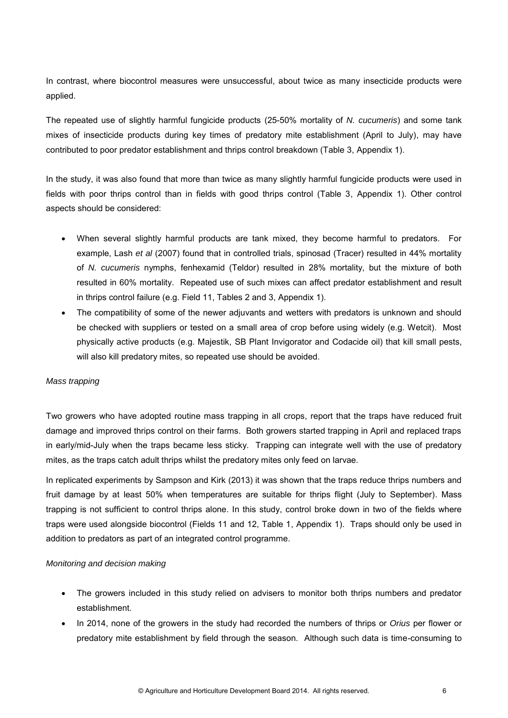In contrast, where biocontrol measures were unsuccessful, about twice as many insecticide products were applied.

The repeated use of slightly harmful fungicide products (25-50% mortality of *N. cucumeris*) and some tank mixes of insecticide products during key times of predatory mite establishment (April to July), may have contributed to poor predator establishment and thrips control breakdown (Table 3, Appendix 1).

In the study, it was also found that more than twice as many slightly harmful fungicide products were used in fields with poor thrips control than in fields with good thrips control (Table 3, Appendix 1). Other control aspects should be considered:

- When several slightly harmful products are tank mixed, they become harmful to predators. For example, Lash *et al* (2007) found that in controlled trials, spinosad (Tracer) resulted in 44% mortality of *N. cucumeris* nymphs, fenhexamid (Teldor) resulted in 28% mortality, but the mixture of both resulted in 60% mortality. Repeated use of such mixes can affect predator establishment and result in thrips control failure (e.g. Field 11, Tables 2 and 3, Appendix 1).
- The compatibility of some of the newer adjuvants and wetters with predators is unknown and should be checked with suppliers or tested on a small area of crop before using widely (e.g. Wetcit). Most physically active products (e.g. Majestik, SB Plant Invigorator and Codacide oil) that kill small pests, will also kill predatory mites, so repeated use should be avoided.

#### *Mass trapping*

Two growers who have adopted routine mass trapping in all crops, report that the traps have reduced fruit damage and improved thrips control on their farms. Both growers started trapping in April and replaced traps in early/mid-July when the traps became less sticky. Trapping can integrate well with the use of predatory mites, as the traps catch adult thrips whilst the predatory mites only feed on larvae.

In replicated experiments by Sampson and Kirk (2013) it was shown that the traps reduce thrips numbers and fruit damage by at least 50% when temperatures are suitable for thrips flight (July to September). Mass trapping is not sufficient to control thrips alone. In this study, control broke down in two of the fields where traps were used alongside biocontrol (Fields 11 and 12, Table 1, Appendix 1). Traps should only be used in addition to predators as part of an integrated control programme.

#### *Monitoring and decision making*

- The growers included in this study relied on advisers to monitor both thrips numbers and predator establishment.
- In 2014, none of the growers in the study had recorded the numbers of thrips or *Orius* per flower or predatory mite establishment by field through the season. Although such data is time-consuming to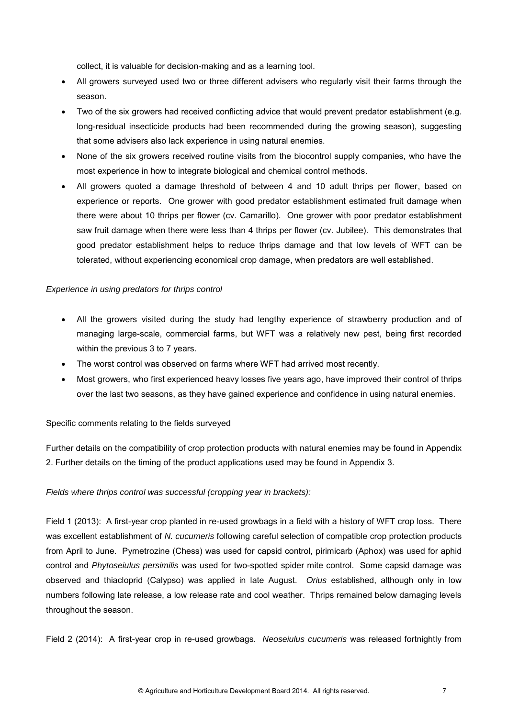collect, it is valuable for decision-making and as a learning tool.

- All growers surveyed used two or three different advisers who regularly visit their farms through the season.
- Two of the six growers had received conflicting advice that would prevent predator establishment (e.g. long-residual insecticide products had been recommended during the growing season), suggesting that some advisers also lack experience in using natural enemies.
- None of the six growers received routine visits from the biocontrol supply companies, who have the most experience in how to integrate biological and chemical control methods.
- All growers quoted a damage threshold of between 4 and 10 adult thrips per flower, based on experience or reports. One grower with good predator establishment estimated fruit damage when there were about 10 thrips per flower (cv. Camarillo). One grower with poor predator establishment saw fruit damage when there were less than 4 thrips per flower (cv. Jubilee). This demonstrates that good predator establishment helps to reduce thrips damage and that low levels of WFT can be tolerated, without experiencing economical crop damage, when predators are well established.

#### *Experience in using predators for thrips control*

- All the growers visited during the study had lengthy experience of strawberry production and of managing large-scale, commercial farms, but WFT was a relatively new pest, being first recorded within the previous 3 to 7 years.
- The worst control was observed on farms where WFT had arrived most recently.
- Most growers, who first experienced heavy losses five years ago, have improved their control of thrips over the last two seasons, as they have gained experience and confidence in using natural enemies.

#### Specific comments relating to the fields surveyed

Further details on the compatibility of crop protection products with natural enemies may be found in Appendix 2. Further details on the timing of the product applications used may be found in Appendix 3.

#### *Fields where thrips control was successful (cropping year in brackets):*

Field 1 (2013): A first-year crop planted in re-used growbags in a field with a history of WFT crop loss. There was excellent establishment of *N. cucumeris* following careful selection of compatible crop protection products from April to June. Pymetrozine (Chess) was used for capsid control, pirimicarb (Aphox) was used for aphid control and *Phytoseiulus persimilis* was used for two-spotted spider mite control. Some capsid damage was observed and thiacloprid (Calypso) was applied in late August. *Orius* established, although only in low numbers following late release, a low release rate and cool weather. Thrips remained below damaging levels throughout the season.

Field 2 (2014): A first-year crop in re-used growbags. *Neoseiulus cucumeris* was released fortnightly from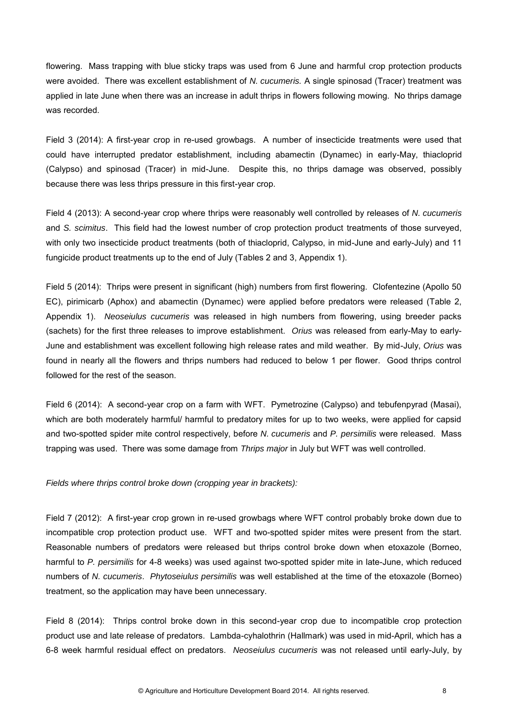flowering. Mass trapping with blue sticky traps was used from 6 June and harmful crop protection products were avoided. There was excellent establishment of *N. cucumeris.* A single spinosad (Tracer) treatment was applied in late June when there was an increase in adult thrips in flowers following mowing. No thrips damage was recorded.

Field 3 (2014): A first-year crop in re-used growbags. A number of insecticide treatments were used that could have interrupted predator establishment, including abamectin (Dynamec) in early-May, thiacloprid (Calypso) and spinosad (Tracer) in mid-June. Despite this, no thrips damage was observed, possibly because there was less thrips pressure in this first-year crop.

Field 4 (2013): A second-year crop where thrips were reasonably well controlled by releases of *N. cucumeris*  and *S. scimitus*. This field had the lowest number of crop protection product treatments of those surveyed, with only two insecticide product treatments (both of thiacloprid, Calypso, in mid-June and early-July) and 11 fungicide product treatments up to the end of July (Tables 2 and 3, Appendix 1).

Field 5 (2014): Thrips were present in significant (high) numbers from first flowering. Clofentezine (Apollo 50 EC), pirimicarb (Aphox) and abamectin (Dynamec) were applied before predators were released (Table 2, Appendix 1). *Neoseiulus cucumeris* was released in high numbers from flowering, using breeder packs (sachets) for the first three releases to improve establishment. *Orius* was released from early-May to early-June and establishment was excellent following high release rates and mild weather. By mid-July, *Orius* was found in nearly all the flowers and thrips numbers had reduced to below 1 per flower. Good thrips control followed for the rest of the season.

Field 6 (2014): A second-year crop on a farm with WFT. Pymetrozine (Calypso) and tebufenpyrad (Masai), which are both moderately harmful/ harmful to predatory mites for up to two weeks, were applied for capsid and two-spotted spider mite control respectively, before *N. cucumeris* and *P. persimilis* were released. Mass trapping was used. There was some damage from *Thrips major* in July but WFT was well controlled.

*Fields where thrips control broke down (cropping year in brackets):* 

Field 7 (2012): A first-year crop grown in re-used growbags where WFT control probably broke down due to incompatible crop protection product use. WFT and two-spotted spider mites were present from the start. Reasonable numbers of predators were released but thrips control broke down when etoxazole (Borneo, harmful to *P. persimilis* for 4-8 weeks) was used against two-spotted spider mite in late-June, which reduced numbers of *N. cucumeris*. *Phytoseiulus persimilis* was well established at the time of the etoxazole (Borneo) treatment, so the application may have been unnecessary.

Field 8 (2014): Thrips control broke down in this second-year crop due to incompatible crop protection product use and late release of predators. Lambda-cyhalothrin (Hallmark) was used in mid-April, which has a 6-8 week harmful residual effect on predators. *Neoseiulus cucumeris* was not released until early-July, by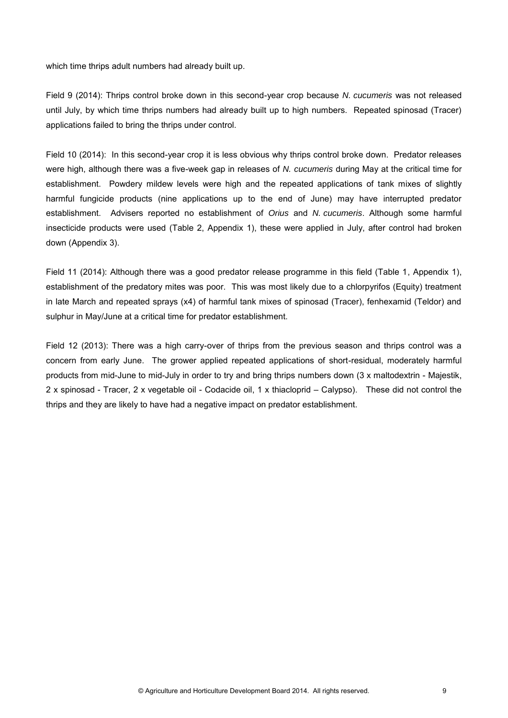which time thrips adult numbers had already built up.

Field 9 (2014): Thrips control broke down in this second-year crop because *N. cucumeris* was not released until July, by which time thrips numbers had already built up to high numbers. Repeated spinosad (Tracer) applications failed to bring the thrips under control.

Field 10 (2014): In this second-year crop it is less obvious why thrips control broke down. Predator releases were high, although there was a five-week gap in releases of *N. cucumeris* during May at the critical time for establishment. Powdery mildew levels were high and the repeated applications of tank mixes of slightly harmful fungicide products (nine applications up to the end of June) may have interrupted predator establishment. Advisers reported no establishment of *Orius* and *N. cucumeris*. Although some harmful insecticide products were used (Table 2, Appendix 1), these were applied in July, after control had broken down (Appendix 3).

Field 11 (2014): Although there was a good predator release programme in this field (Table 1, Appendix 1), establishment of the predatory mites was poor. This was most likely due to a chlorpyrifos (Equity) treatment in late March and repeated sprays (x4) of harmful tank mixes of spinosad (Tracer), fenhexamid (Teldor) and sulphur in May/June at a critical time for predator establishment.

Field 12 (2013): There was a high carry-over of thrips from the previous season and thrips control was a concern from early June. The grower applied repeated applications of short-residual, moderately harmful products from mid-June to mid-July in order to try and bring thrips numbers down (3 x maltodextrin - Majestik, 2 x spinosad - Tracer, 2 x vegetable oil - Codacide oil, 1 x thiacloprid – Calypso). These did not control the thrips and they are likely to have had a negative impact on predator establishment.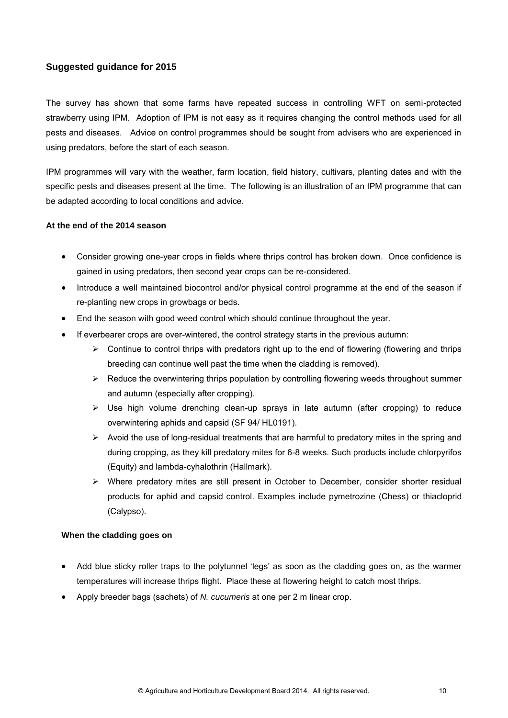### **Suggested guidance for 2015**

The survey has shown that some farms have repeated success in controlling WFT on semi-protected strawberry using IPM. Adoption of IPM is not easy as it requires changing the control methods used for all pests and diseases. Advice on control programmes should be sought from advisers who are experienced in using predators, before the start of each season.

IPM programmes will vary with the weather, farm location, field history, cultivars, planting dates and with the specific pests and diseases present at the time. The following is an illustration of an IPM programme that can be adapted according to local conditions and advice.

#### **At the end of the 2014 season**

- Consider growing one-year crops in fields where thrips control has broken down. Once confidence is gained in using predators, then second year crops can be re-considered.
- Introduce a well maintained biocontrol and/or physical control programme at the end of the season if re-planting new crops in growbags or beds.
- End the season with good weed control which should continue throughout the year.
- If everbearer crops are over-wintered, the control strategy starts in the previous autumn:
	- $\triangleright$  Continue to control thrips with predators right up to the end of flowering (flowering and thrips breeding can continue well past the time when the cladding is removed).
	- $\triangleright$  Reduce the overwintering thrips population by controlling flowering weeds throughout summer and autumn (especially after cropping).
	- $\triangleright$  Use high volume drenching clean-up sprays in late autumn (after cropping) to reduce overwintering aphids and capsid (SF 94/ HL0191).
	- $\triangleright$  Avoid the use of long-residual treatments that are harmful to predatory mites in the spring and during cropping, as they kill predatory mites for 6-8 weeks. Such products include chlorpyrifos (Equity) and lambda-cyhalothrin (Hallmark).
	- $\triangleright$  Where predatory mites are still present in October to December, consider shorter residual products for aphid and capsid control. Examples include pymetrozine (Chess) or thiacloprid (Calypso).

#### **When the cladding goes on**

- Add blue sticky roller traps to the polytunnel 'legs' as soon as the cladding goes on, as the warmer temperatures will increase thrips flight. Place these at flowering height to catch most thrips.
- Apply breeder bags (sachets) of *N. cucumeris* at one per 2 m linear crop.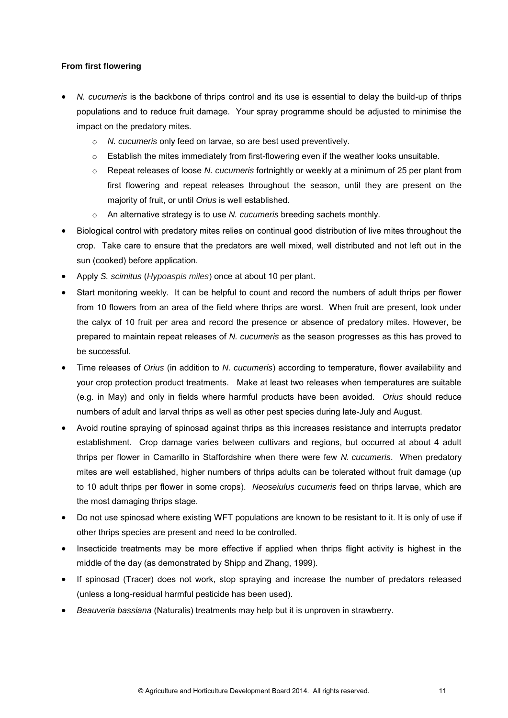#### **From first flowering**

- *N. cucumeris* is the backbone of thrips control and its use is essential to delay the build-up of thrips populations and to reduce fruit damage. Your spray programme should be adjusted to minimise the impact on the predatory mites.
	- o *N. cucumeris* only feed on larvae, so are best used preventively.
	- $\circ$  Establish the mites immediately from first-flowering even if the weather looks unsuitable.
	- o Repeat releases of loose *N. cucumeris* fortnightly or weekly at a minimum of 25 per plant from first flowering and repeat releases throughout the season, until they are present on the majority of fruit, or until *Orius* is well established.
	- o An alternative strategy is to use *N. cucumeris* breeding sachets monthly.
- Biological control with predatory mites relies on continual good distribution of live mites throughout the crop. Take care to ensure that the predators are well mixed, well distributed and not left out in the sun (cooked) before application.
- Apply *S. scimitus* (*Hypoaspis miles*) once at about 10 per plant.
- Start monitoring weekly. It can be helpful to count and record the numbers of adult thrips per flower from 10 flowers from an area of the field where thrips are worst. When fruit are present, look under the calyx of 10 fruit per area and record the presence or absence of predatory mites. However, be prepared to maintain repeat releases of *N. cucumeris* as the season progresses as this has proved to be successful.
- Time releases of *Orius* (in addition to *N. cucumeris*) according to temperature, flower availability and your crop protection product treatments. Make at least two releases when temperatures are suitable (e.g. in May) and only in fields where harmful products have been avoided. *Orius* should reduce numbers of adult and larval thrips as well as other pest species during late-July and August.
- Avoid routine spraying of spinosad against thrips as this increases resistance and interrupts predator establishment. Crop damage varies between cultivars and regions, but occurred at about 4 adult thrips per flower in Camarillo in Staffordshire when there were few *N. cucumeris*. When predatory mites are well established, higher numbers of thrips adults can be tolerated without fruit damage (up to 10 adult thrips per flower in some crops). *Neoseiulus cucumeris* feed on thrips larvae, which are the most damaging thrips stage.
- Do not use spinosad where existing WFT populations are known to be resistant to it. It is only of use if other thrips species are present and need to be controlled.
- Insecticide treatments may be more effective if applied when thrips flight activity is highest in the middle of the day (as demonstrated by Shipp and Zhang, 1999).
- If spinosad (Tracer) does not work, stop spraying and increase the number of predators released (unless a long-residual harmful pesticide has been used).
- *Beauveria bassiana* (Naturalis) treatments may help but it is unproven in strawberry.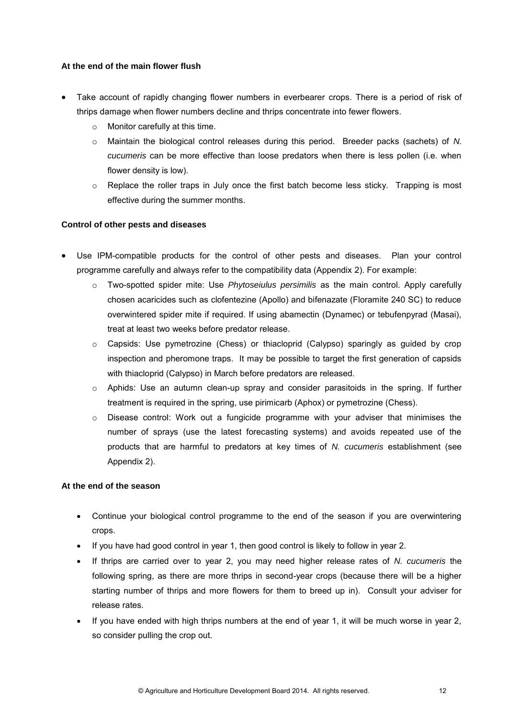#### **At the end of the main flower flush**

- Take account of rapidly changing flower numbers in everbearer crops. There is a period of risk of thrips damage when flower numbers decline and thrips concentrate into fewer flowers.
	- o Monitor carefully at this time.
	- o Maintain the biological control releases during this period. Breeder packs (sachets) of *N. cucumeris* can be more effective than loose predators when there is less pollen (i.e. when flower density is low).
	- $\circ$  Replace the roller traps in July once the first batch become less sticky. Trapping is most effective during the summer months.

#### **Control of other pests and diseases**

- Use IPM-compatible products for the control of other pests and diseases. Plan your control programme carefully and always refer to the compatibility data (Appendix 2). For example:
	- o Two-spotted spider mite: Use *Phytoseiulus persimilis* as the main control. Apply carefully chosen acaricides such as clofentezine (Apollo) and bifenazate (Floramite 240 SC) to reduce overwintered spider mite if required. If using abamectin (Dynamec) or tebufenpyrad (Masai), treat at least two weeks before predator release.
	- $\circ$  Capsids: Use pymetrozine (Chess) or thiacloprid (Calypso) sparingly as quided by crop inspection and pheromone traps. It may be possible to target the first generation of capsids with thiacloprid (Calypso) in March before predators are released.
	- $\circ$  Aphids: Use an autumn clean-up spray and consider parasitoids in the spring. If further treatment is required in the spring, use pirimicarb (Aphox) or pymetrozine (Chess).
	- $\circ$  Disease control: Work out a fungicide programme with your adviser that minimises the number of sprays (use the latest forecasting systems) and avoids repeated use of the products that are harmful to predators at key times of *N. cucumeris* establishment (see Appendix 2).

#### **At the end of the season**

- Continue your biological control programme to the end of the season if you are overwintering crops.
- If you have had good control in year 1, then good control is likely to follow in year 2.
- If thrips are carried over to year 2, you may need higher release rates of *N. cucumeris* the following spring, as there are more thrips in second-year crops (because there will be a higher starting number of thrips and more flowers for them to breed up in). Consult your adviser for release rates.
- $\bullet$  If you have ended with high thrips numbers at the end of year 1, it will be much worse in year 2, so consider pulling the crop out.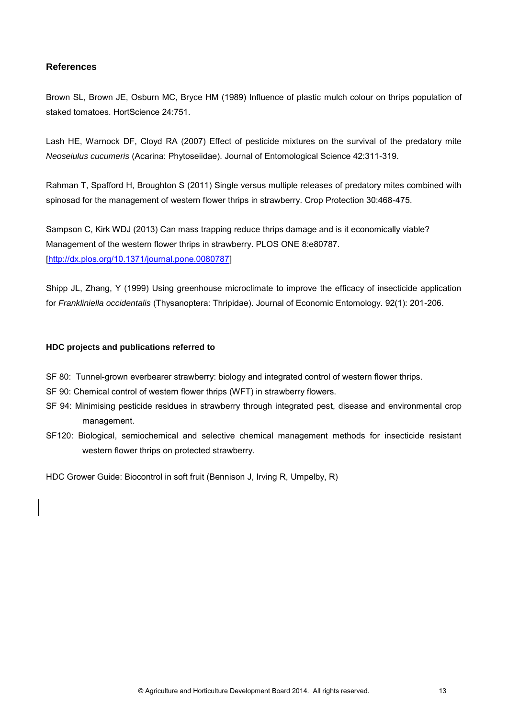## **References**

Brown SL, Brown JE, Osburn MC, Bryce HM (1989) Influence of plastic mulch colour on thrips population of staked tomatoes. HortScience 24:751.

Lash HE, Warnock DF, Cloyd RA (2007) Effect of pesticide mixtures on the survival of the predatory mite *Neoseiulus cucumeris* (Acarina: Phytoseiidae). Journal of Entomological Science 42:311-319.

Rahman T, Spafford H, Broughton S (2011) Single versus multiple releases of predatory mites combined with spinosad for the management of western flower thrips in strawberry. Crop Protection 30:468-475.

Sampson C, Kirk WDJ (2013) Can mass trapping reduce thrips damage and is it economically viable? Management of the western flower thrips in strawberry. PLOS ONE 8:e80787. [\[http://dx.plos.org/10.1371/journal.pone.0080787\]](http://dx.plos.org/10.1371/journal.pone.0080787)

Shipp JL, Zhang, Y (1999) Using greenhouse microclimate to improve the efficacy of insecticide application for *Frankliniella occidentalis* (Thysanoptera: Thripidae). Journal of Economic Entomology. 92(1): 201-206.

#### **HDC projects and publications referred to**

- SF 80: Tunnel-grown everbearer strawberry: biology and integrated control of western flower thrips.
- SF 90: Chemical control of western flower thrips (WFT) in strawberry flowers.
- SF 94: Minimising pesticide residues in strawberry through integrated pest, disease and environmental crop management.
- SF120: Biological, semiochemical and selective chemical management methods for insecticide resistant western flower thrips on protected strawberry.

HDC Grower Guide: Biocontrol in soft fruit (Bennison J, Irving R, Umpelby, R)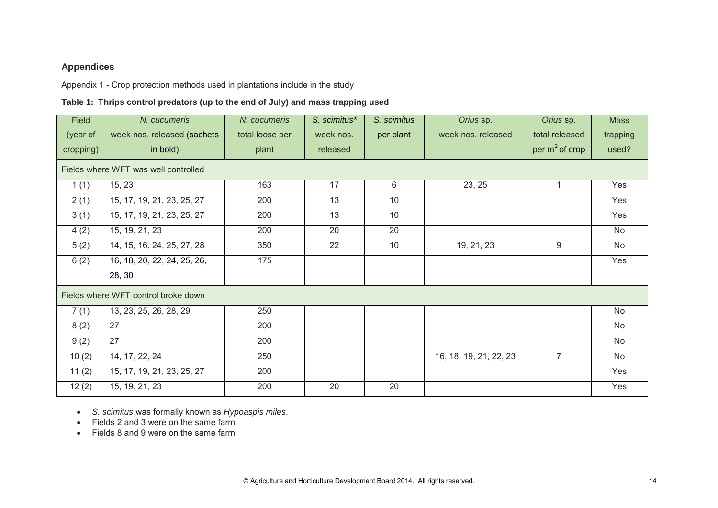## **Appendices**

Appendix 1 - Crop protection methods used in plantations include in the study

## **Table 1: Thrips control predators (up to the end of July) and mass trapping used**

| Field     | N. cucumeris                         | N. cucumeris    | S. scimitus* | S. scimitus | Orius sp.              | Orius sp.         | <b>Mass</b> |
|-----------|--------------------------------------|-----------------|--------------|-------------|------------------------|-------------------|-------------|
| (year of  | week nos. released (sachets          | total loose per | week nos.    | per plant   | week nos. released     | total released    | trapping    |
| cropping) | in bold)                             | plant           | released     |             |                        | per $m^2$ of crop | used?       |
|           | Fields where WFT was well controlled |                 |              |             |                        |                   |             |
| 1(1)      | 15, 23                               | 163             | 17           | 6           | 23, 25                 |                   | Yes         |
| 2(1)      | 15, 17, 19, 21, 23, 25, 27           | 200             | 13           | 10          |                        |                   | Yes         |
| 3(1)      | 15, 17, 19, 21, 23, 25, 27           | 200             | 13           | 10          |                        |                   | Yes         |
| 4(2)      | 15, 19, 21, 23                       | 200             | 20           | 20          |                        |                   | No          |
| 5(2)      | 14, 15, 16, 24, 25, 27, 28           | 350             | 22           | 10          | 19, 21, 23             | 9                 | No          |
| 6(2)      | 16, 18, 20, 22, 24, 25, 26,          | 175             |              |             |                        |                   | Yes         |
|           | 28, 30                               |                 |              |             |                        |                   |             |
|           | Fields where WFT control broke down  |                 |              |             |                        |                   |             |
| 7(1)      | 13, 23, 25, 26, 28, 29               | 250             |              |             |                        |                   | <b>No</b>   |
| 8(2)      | 27                                   | 200             |              |             |                        |                   | No          |
| 9(2)      | 27                                   | 200             |              |             |                        |                   | No          |
| 10(2)     | 14, 17, 22, 24                       | 250             |              |             | 16, 18, 19, 21, 22, 23 | $\overline{7}$    | No          |
| 11(2)     | 15, 17, 19, 21, 23, 25, 27           | 200             |              |             |                        |                   | Yes         |
| 12(2)     | 15, 19, 21, 23                       | 200             | 20           | 20          |                        |                   | Yes         |

*S. scimitus* was formally known as *Hypoaspis miles*.

- Fields 2 and 3 were on the same farm
- Fields 8 and 9 were on the same farm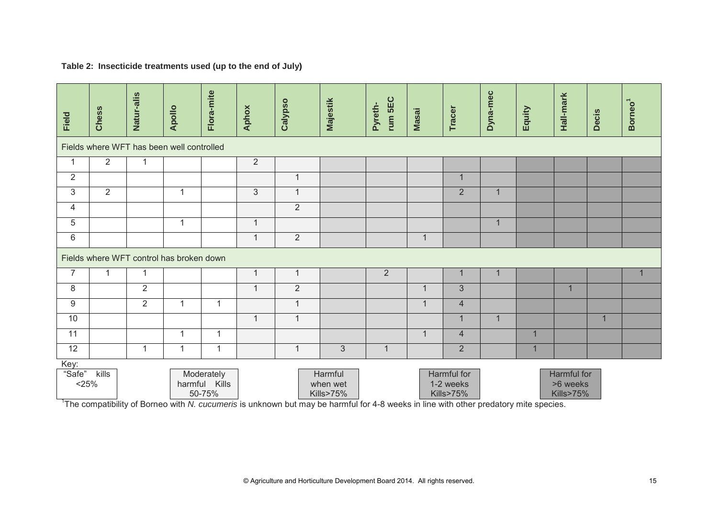|  |  |  |  | Table 2: Insecticide treatments used (up to the end of July) |  |
|--|--|--|--|--------------------------------------------------------------|--|
|--|--|--|--|--------------------------------------------------------------|--|

| Field          | Chess                                                                                                                                                                                                                                                                                                                                         | Natur-alis     | Apollo                                   | Flora-mite   | <b>Aphox</b>   | Calypso        | <b>Majestik</b> | rum 5EC<br>Pyreth- | <b>Masai</b> | Tracer         | Dyna-mec     | Equity       | Hall-mark    | Decis          | Borneo <sup>1</sup> |
|----------------|-----------------------------------------------------------------------------------------------------------------------------------------------------------------------------------------------------------------------------------------------------------------------------------------------------------------------------------------------|----------------|------------------------------------------|--------------|----------------|----------------|-----------------|--------------------|--------------|----------------|--------------|--------------|--------------|----------------|---------------------|
|                | Fields where WFT has been well controlled                                                                                                                                                                                                                                                                                                     |                |                                          |              |                |                |                 |                    |              |                |              |              |              |                |                     |
| $\mathbf{1}$   | $\overline{2}$                                                                                                                                                                                                                                                                                                                                | 1              |                                          |              | $\overline{2}$ |                |                 |                    |              |                |              |              |              |                |                     |
| $\overline{2}$ |                                                                                                                                                                                                                                                                                                                                               |                |                                          |              |                | $\mathbf{1}$   |                 |                    |              | 1              |              |              |              |                |                     |
| $\mathfrak{S}$ | $\overline{2}$                                                                                                                                                                                                                                                                                                                                |                | $\mathbf{1}$                             |              | $\mathbf{3}$   | $\mathbf{1}$   |                 |                    |              | $\overline{2}$ | $\mathbf{1}$ |              |              |                |                     |
| $\overline{4}$ |                                                                                                                                                                                                                                                                                                                                               |                |                                          |              |                | $\overline{2}$ |                 |                    |              |                |              |              |              |                |                     |
| 5              |                                                                                                                                                                                                                                                                                                                                               |                | $\mathbf{1}$                             |              | $\mathbf{1}$   |                |                 |                    |              |                | $\mathbf{1}$ |              |              |                |                     |
| 6              |                                                                                                                                                                                                                                                                                                                                               |                |                                          |              | $\mathbf{1}$   | $\overline{2}$ |                 |                    | $\mathbf{1}$ |                |              |              |              |                |                     |
|                |                                                                                                                                                                                                                                                                                                                                               |                | Fields where WFT control has broken down |              |                |                |                 |                    |              |                |              |              |              |                |                     |
| $\overline{7}$ | $\mathbf{1}$                                                                                                                                                                                                                                                                                                                                  | 1              |                                          |              | $\mathbf{1}$   | $\mathbf{1}$   |                 | $\sqrt{2}$         |              | $\mathbf{1}$   | $\mathbf{1}$ |              |              |                |                     |
| 8              |                                                                                                                                                                                                                                                                                                                                               | $\overline{2}$ |                                          |              | $\mathbf{1}$   | $\overline{2}$ |                 |                    | $\mathbf{1}$ | $\overline{3}$ |              |              | $\mathbf{1}$ |                |                     |
| $\overline{9}$ |                                                                                                                                                                                                                                                                                                                                               | $\overline{2}$ | $\mathbf{1}$                             | $\mathbf{1}$ |                | $\mathbf{1}$   |                 |                    | $\mathbf{1}$ | $\overline{4}$ |              |              |              |                |                     |
| 10             |                                                                                                                                                                                                                                                                                                                                               |                |                                          |              | $\mathbf{1}$   | $\mathbf{1}$   |                 |                    |              | $\mathbf{1}$   | $\mathbf{1}$ |              |              | $\overline{1}$ |                     |
| 11             |                                                                                                                                                                                                                                                                                                                                               |                | $\mathbf{1}$                             | $\mathbf{1}$ |                |                |                 |                    | $\mathbf{1}$ | $\overline{4}$ |              | $\mathbf{1}$ |              |                |                     |
| 12             |                                                                                                                                                                                                                                                                                                                                               | 1              | 1                                        | $\mathbf{1}$ |                | $\mathbf{1}$   | 3               | $\mathbf 1$        |              | $\overline{2}$ |              | $\mathbf 1$  |              |                |                     |
| Key:<br>"Safe" | kills<br>Harmful<br>Harmful for<br>Harmful for<br>Moderately<br>$<$ 25%<br>harmful Kills<br>when wet<br>1-2 weeks<br>>6 weeks<br>50-75%<br>Kills>75%<br><b>Kills&gt;75%</b><br>Kills>75%<br><sup>1</sup> The compatibility of Borneo with N. cucumeris is unknown but may be harmful for 4-8 weeks in line with other predatory mite species. |                |                                          |              |                |                |                 |                    |              |                |              |              |              |                |                     |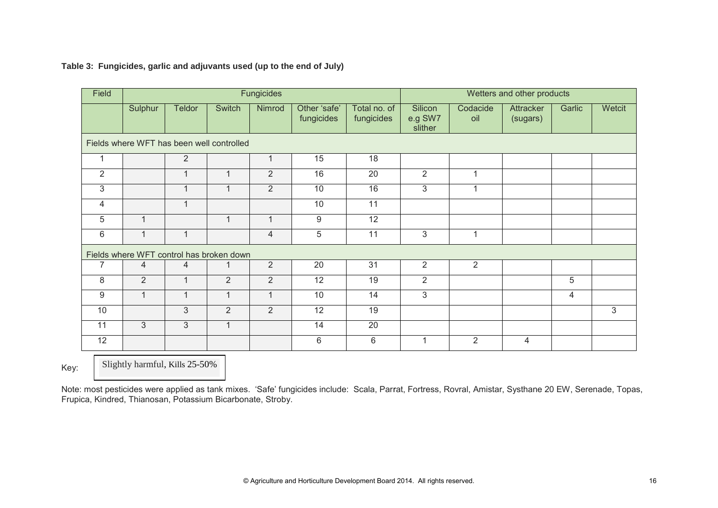| Field          |                                           |                |                | <b>Fungicides</b> |                            | Wetters and other products |                               |                 |                              |        |        |
|----------------|-------------------------------------------|----------------|----------------|-------------------|----------------------------|----------------------------|-------------------------------|-----------------|------------------------------|--------|--------|
|                | Sulphur                                   | <b>Teldor</b>  | Switch         | Nimrod            | Other 'safe'<br>fungicides | Total no. of<br>fungicides | Silicon<br>e.g SW7<br>slither | Codacide<br>oil | <b>Attracker</b><br>(sugars) | Garlic | Wetcit |
|                | Fields where WFT has been well controlled |                |                |                   |                            |                            |                               |                 |                              |        |        |
| 1              |                                           | $\overline{2}$ |                | $\mathbf{1}$      | 15                         | 18                         |                               |                 |                              |        |        |
| $\overline{2}$ |                                           | $\mathbf{1}$   | $\mathbf{1}$   | $\overline{2}$    | 16                         | 20                         | $\overline{2}$                | $\mathbf 1$     |                              |        |        |
| 3              |                                           | $\mathbf 1$    | $\mathbf{1}$   | $\overline{2}$    | 10                         | 16                         | 3                             | 1               |                              |        |        |
| 4              |                                           | $\mathbf 1$    |                |                   | 10                         | 11                         |                               |                 |                              |        |        |
| 5              | $\overline{1}$                            |                | $\mathbf{1}$   | $\overline{1}$    | $\boldsymbol{9}$           | 12                         |                               |                 |                              |        |        |
| 6              | $\overline{1}$                            | $\mathbf 1$    |                | 4                 | 5                          | 11                         | 3                             |                 |                              |        |        |
|                | Fields where WFT control has broken down  |                |                |                   |                            |                            |                               |                 |                              |        |        |
| $\overline{7}$ | $\overline{4}$                            | $\overline{4}$ | 1              | $\overline{2}$    | 20                         | 31                         | $\overline{2}$                | $\overline{2}$  |                              |        |        |
| 8              | $\overline{2}$                            | $\mathbf{1}$   | $\overline{2}$ | $\overline{2}$    | 12                         | 19                         | $\overline{2}$                |                 |                              | 5      |        |
| 9              | $\overline{1}$                            | $\mathbf{1}$   | $\mathbf{1}$   | $\mathbf{1}$      | 10                         | $\overline{14}$            | $\overline{3}$                |                 |                              | 4      |        |
| 10             |                                           | $\mathfrak{S}$ | $\overline{2}$ | $\overline{2}$    | 12                         | 19                         |                               |                 |                              |        | 3      |
| 11             | 3                                         | 3              | $\mathbf{1}$   |                   | 14                         | 20                         |                               |                 |                              |        |        |
| 12             |                                           |                |                |                   | 6                          | $6\phantom{1}6$            | 1                             | $\overline{2}$  | 4                            |        |        |

## **Table 3: Fungicides, garlic and adjuvants used (up to the end of July)**

Key: Slightly harmful, Kills 25-50%

Note: most pesticides were applied as tank mixes. 'Safe' fungicides include: Scala, Parrat, Fortress, Rovral, Amistar, Systhane 20 EW, Serenade, Topas, Frupica, Kindred, Thianosan, Potassium Bicarbonate, Stroby.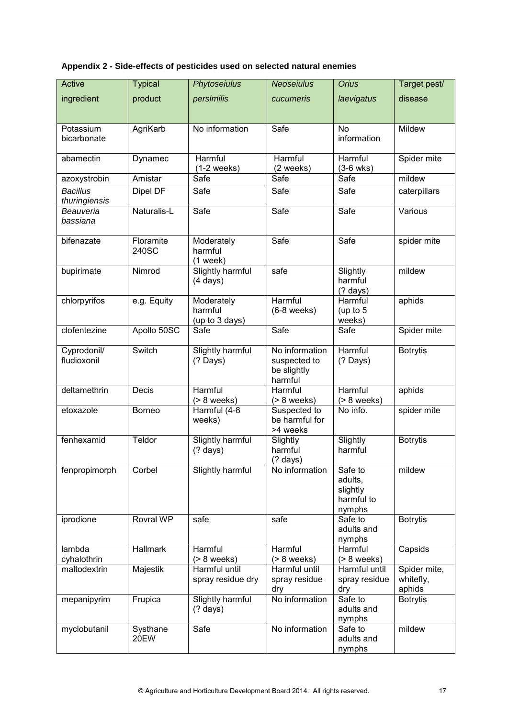| Appendix 2 - Side-effects of pesticides used on selected natural enemies |  |  |  |  |  |
|--------------------------------------------------------------------------|--|--|--|--|--|
|--------------------------------------------------------------------------|--|--|--|--|--|

| Active                           | <b>Typical</b>     | Phytoseiulus                           | <b>Neoseiulus</b>                                        | <b>Orius</b>                                           | Target pest/                        |
|----------------------------------|--------------------|----------------------------------------|----------------------------------------------------------|--------------------------------------------------------|-------------------------------------|
| ingredient                       | product            | persimilis                             | cucumeris                                                | laevigatus                                             | disease                             |
|                                  |                    |                                        |                                                          |                                                        |                                     |
| Potassium<br>bicarbonate         | AgriKarb           | No information                         | Safe                                                     | <b>No</b><br>information                               | Mildew                              |
| abamectin                        | Dynamec            | Harmful<br>$(1-2$ weeks)               | Harmful<br>(2 weeks)                                     | Harmful<br>$(3-6$ wks)                                 | Spider mite                         |
| azoxystrobin                     | Amistar            | Safe                                   | Safe                                                     | Safe                                                   | mildew                              |
| <b>Bacillus</b><br>thuringiensis | Dipel DF           | Safe                                   | Safe                                                     | Safe                                                   | caterpillars                        |
| Beauveria<br>bassiana            | Naturalis-L        | Safe                                   | Safe                                                     | Safe                                                   | Various                             |
| bifenazate                       | Floramite<br>240SC | Moderately<br>harmful<br>$(1$ week)    | Safe                                                     | Safe                                                   | spider mite                         |
| bupirimate                       | Nimrod             | Slightly harmful<br>$(4 \text{ days})$ | safe                                                     | Slightly<br>harmful<br>$(?)$ days)                     | mildew                              |
| chlorpyrifos                     | e.g. Equity        |                                        | Harmful<br>$(6-8$ weeks)                                 | Harmful<br>(up to $5$<br>weeks)                        | aphids                              |
| clofentezine                     | Apollo 50SC        | (up to 3 days)<br>Safe                 | Safe                                                     | Safe                                                   | Spider mite                         |
| Cyprodonil/<br>fludioxonil       | Switch             | Slightly harmful<br>$(?$ Days)         | No information<br>suspected to<br>be slightly<br>harmful | Harmful<br>$(?)$ Days)                                 | <b>Botrytis</b>                     |
| deltamethrin                     | <b>Decis</b>       | Harmful<br>$($ > 8 weeks $)$           | Harmful<br>$($ > 8 weeks $)$                             | Harmful<br>$($ > 8 weeks $)$                           | aphids                              |
| etoxazole                        | Borneo             | Harmful (4-8<br>weeks)                 | Suspected to<br>be harmful for<br>>4 weeks               | No info.                                               | spider mite                         |
| fenhexamid                       | Teldor             | Slightly harmful<br>$(?$ days)         | Slightly<br>harmful<br>$(?$ days)                        | Slightly<br>harmful                                    | <b>Botrytis</b>                     |
| fenpropimorph                    | Corbel             | Slightly harmful                       | No information                                           | Safe to<br>adults,<br>slightly<br>harmful to<br>nymphs | mildew                              |
| iprodione                        | Rovral WP          | safe                                   | safe                                                     | Safe to<br>adults and<br>nymphs                        | <b>Botrytis</b>                     |
| lambda<br>cyhalothrin            | Hallmark           | Harmful<br>$($ > 8 weeks $)$           | Harmful<br>$($ > 8 weeks $)$                             | Harmful<br>$($ > 8 weeks $)$                           | Capsids                             |
| maltodextrin                     | Majestik           | Harmful until<br>spray residue dry     | Harmful until<br>spray residue<br>dry                    | Harmful until<br>spray residue<br>dry                  | Spider mite,<br>whitefly,<br>aphids |
| mepanipyrim                      | Frupica            | Slightly harmful<br>$(?$ days)         | No information                                           | Safe to<br>adults and<br>nymphs                        | <b>Botrytis</b>                     |
| myclobutanil                     | Systhane<br>20EW   | Safe                                   | No information                                           | Safe to<br>adults and<br>nymphs                        | mildew                              |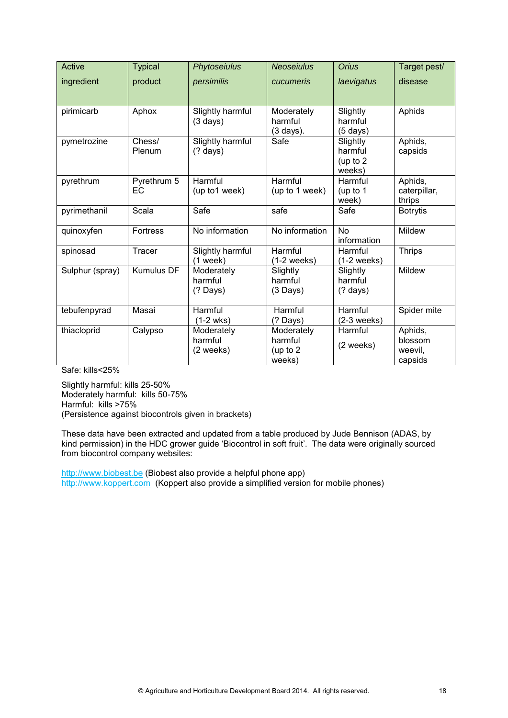| Active          | <b>Typical</b>    | Phytoseiulus                           | <b>Neoseiulus</b>                             | <b>Orius</b>                              | Target pest/                             |
|-----------------|-------------------|----------------------------------------|-----------------------------------------------|-------------------------------------------|------------------------------------------|
| ingredient      | product           | persimilis                             | cucumeris                                     | laevigatus                                | disease                                  |
| pirimicarb      | Aphox             | Slightly harmful<br>$(3 \text{ days})$ | Moderately<br>harmful<br>$(3 \text{ days})$ . | Slightly<br>harmful<br>$(5 \text{ days})$ | Aphids                                   |
| pymetrozine     | Chess/<br>Plenum  | Slightly harmful<br>$(?$ days)         | Safe                                          | Slightly<br>harmful<br>(up to 2<br>weeks) | Aphids,<br>capsids                       |
| pyrethrum       | Pyrethrum 5<br>ЕC | Harmful<br>(up to1 week)               | Harmful<br>(up to 1 week)                     | Harmful<br>(up to 1<br>week)              | Aphids,<br>caterpillar,<br>thrips        |
| pyrimethanil    | Scala             | Safe                                   | safe                                          | Safe                                      | <b>Botrytis</b>                          |
| quinoxyfen      | Fortress          | No information                         | No information                                | <b>No</b><br>information                  | Mildew                                   |
| spinosad        | Tracer            | Slightly harmful<br>$(1$ week)         | Harmful<br>$(1-2$ weeks)                      | Harmful<br>$(1-2$ weeks)                  | <b>Thrips</b>                            |
| Sulphur (spray) | <b>Kumulus DF</b> | Moderately<br>harmful<br>$(?$ Days)    | Slightly<br>harmful<br>$(3 \text{ Days})$     | Slightly<br>harmful<br>(? days)           | Mildew                                   |
| tebufenpyrad    | Masai             | Harmful<br>$(1-2$ wks)                 | Harmful<br>(? Days)                           | Harmful<br>$(2-3$ weeks)                  | Spider mite                              |
| thiacloprid     | Calypso           | Moderately<br>harmful<br>(2 weeks)     | Moderately<br>harmful<br>(up to 2<br>weeks)   | Harmful<br>(2 weeks)                      | Aphids,<br>blossom<br>weevil,<br>capsids |

Safe: kills<25%

Slightly harmful: kills 25-50% Moderately harmful: kills 50-75% Harmful: kills >75% (Persistence against biocontrols given in brackets)

These data have been extracted and updated from a table produced by Jude Bennison (ADAS, by kind permission) in the HDC grower guide 'Biocontrol in soft fruit'. The data were originally sourced from biocontrol company websites:

[http://www.biobest.be](http://www.biobest.be/) (Biobest also provide a helpful phone app) [http://www.koppert.com](http://www.koppert.com/) (Koppert also provide a simplified version for mobile phones)